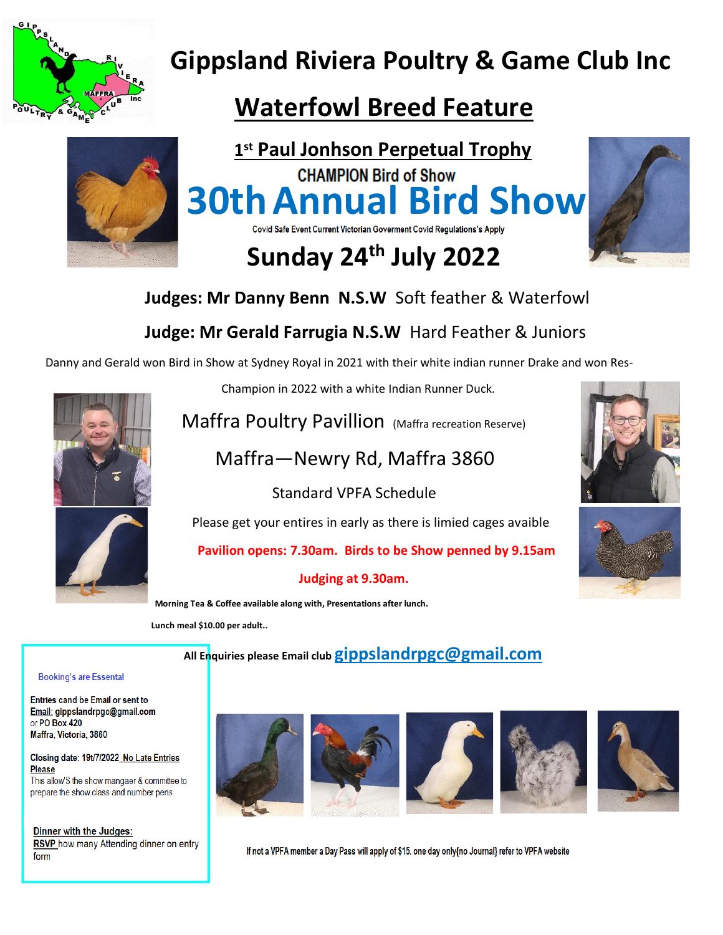

# **Gippsland Riviera Poultry & Game Club Inc**

## **Waterfowl Breed Feature**



**st Paul Jonhson Perpetual Trophy CHAMPION Bird of Show 30th Annual Bird Show**<br>Covid Safe Event Current Victorian Goverment Covid Regulations's Apply

# **Sunday 24th July 2022**



 **Judges: Mr Danny Benn N.S.W** Soft feather & Waterfowl

### **Judge: Mr Gerald Farrugia N.S.W** Hard Feather & Juniors

Danny and Gerald won Bird in Show at Sydney Royal in 2021 with their white indian runner Drake and won Res-



Champion in 2022 with a white Indian Runner Duck.

Maffra Poultry Pavillion (Maffra recreation Reserve)

### Maffra—Newry Rd, Maffra 3860

Standard VPFA Schedule

Please get your entires in early as there is limied cages avaible

 **Pavilion opens: 7.30am. Birds to be Show penned by 9.15am**

### **Judging at 9.30am.**

 **Morning Tea & Coffee available along with, Presentations after lunch.** 

 **Lunch meal \$10.00 per adult..**

 **All Enquiries please Email club [gippslandrpgc@gmail.com](mailto:gippslandrpgc@gmail.com)** 

#### **Booking's are Essental**

Entries cand be Email or sent to Email: gippslandrpgc@gmail.com or PO Box 420 Maffra, Victoria, 3860

#### Closing date: 19t/7/2022 No Late Entries **Please**

This allow'S the show mangaer & committee to prepare the show class and number pens

Dinner with the Judges: RSVP how many Attending dinner on entry form











If not a VPFA member a Day Pass will apply of \$15. one day only{no Journal} refer to VPFA website



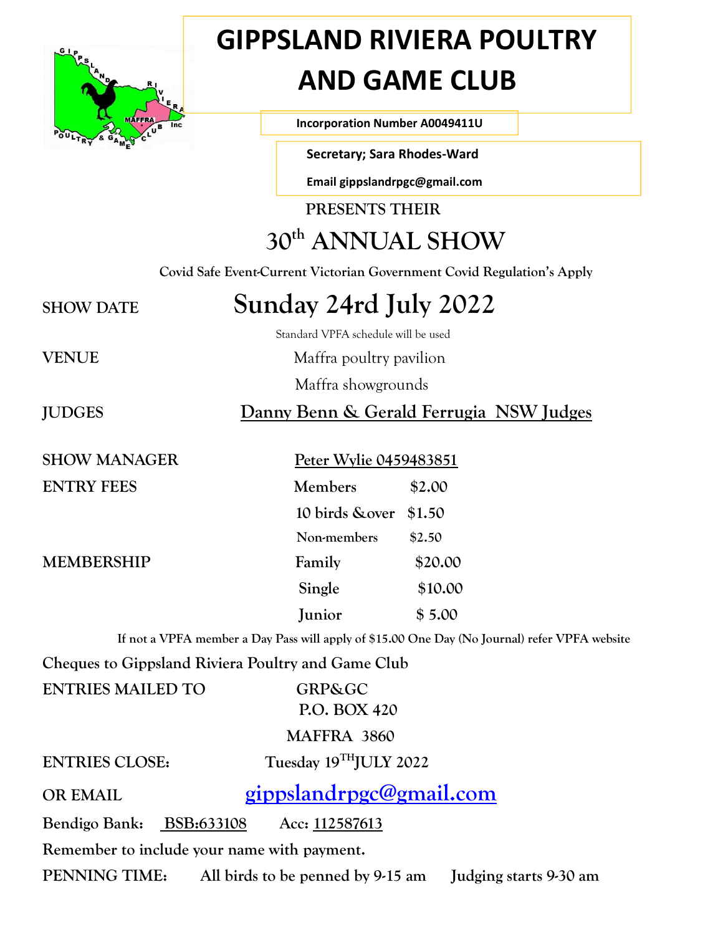

# **GIPPSLAND RIVIERA POULTRY AND GAME CLUB**

**Incorporation Number A0049411U** 

 **Secretary; Sara Rhodes-Ward**

 **Email gippslandrpgc@gmail.com** 

**PRESENTS THEIR**

## **30th ANNUAL SHOW**

 **Covid Safe Event-Current Victorian Government Covid Regulation's Apply**

## **SHOW DATE Sunday 24rd July 2022**

Standard VPFA schedule will be used

**VENUE** Maffra poultry pavilion

Maffra showgrounds

**JUDGES Danny Benn & Gerald Ferrugia NSW Judges**

**ENTRY FEES** 

### **SHOW MANAGER** Peter Wylie 0459483851

| <b>ENTRY FEES</b> | Members                | \$2.00  |
|-------------------|------------------------|---------|
|                   | 10 birds & over \$1.50 |         |
|                   | Non-members            | \$2.50  |
| MEMBERSHIP        | Family                 | \$20.00 |
|                   | Single                 | \$10.00 |
|                   | Junior                 | \$5.00  |

 **If not a VPFA member a Day Pass will apply of \$15.00 One Day (No Journal) refer VPFA website**

**Cheques to Gippsland Riviera Poultry and Game Club**

| <b>ENTRIES MAILED TO</b>                    |  | <b>GRP&amp;GC</b>                 |                        |  |  |
|---------------------------------------------|--|-----------------------------------|------------------------|--|--|
|                                             |  | P.O. BOX 420                      |                        |  |  |
|                                             |  | MAFFRA 3860                       |                        |  |  |
| <b>ENTRIES CLOSE:</b>                       |  | Tuesday 19THJULY 2022             |                        |  |  |
| <b>OR EMAIL</b>                             |  | gippslandrpgc@gmail.com           |                        |  |  |
| Bendigo Bank: BSB:633108                    |  | Acc: 112587613                    |                        |  |  |
| Remember to include your name with payment. |  |                                   |                        |  |  |
| PENNING TIME:                               |  | All birds to be penned by 9-15 am | Judging starts 9-30 am |  |  |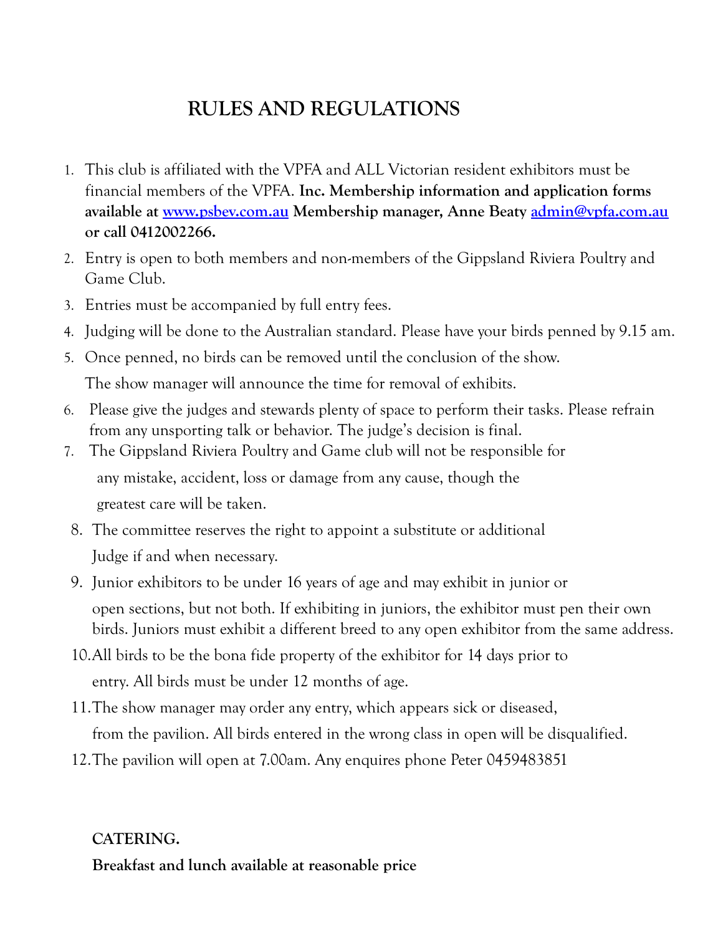### **RULES AND REGULATIONS**

- 1. This club is affiliated with the VPFA and ALL Victorian resident exhibitors must be financial members of the VPFA. **Inc. Membership information and application forms available at [www.psbev.com.au](http://www.psbev.com.au/) Membership manager, Anne Beaty [admin@vpfa.com.au](mailto:admin@vpfa.com.au) or call 0412002266.**
- 2. Entry is open to both members and non-members of the Gippsland Riviera Poultry and Game Club.
- 3. Entries must be accompanied by full entry fees.
- 4. Judging will be done to the Australian standard. Please have your birds penned by 9.15 am.
- 5. Once penned, no birds can be removed until the conclusion of the show. The show manager will announce the time for removal of exhibits.
- 6. Please give the judges and stewards plenty of space to perform their tasks. Please refrain from any unsporting talk or behavior. The judge's decision is final.
- 7. The Gippsland Riviera Poultry and Game club will not be responsible for any mistake, accident, loss or damage from any cause, though the greatest care will be taken.
- 8. The committee reserves the right to appoint a substitute or additional Judge if and when necessary.
- 9. Junior exhibitors to be under 16 years of age and may exhibit in junior or open sections, but not both. If exhibiting in juniors, the exhibitor must pen their own birds. Juniors must exhibit a different breed to any open exhibitor from the same address.
- 10.All birds to be the bona fide property of the exhibitor for 14 days prior to entry. All birds must be under 12 months of age.
- 11.The show manager may order any entry, which appears sick or diseased, from the pavilion. All birds entered in the wrong class in open will be disqualified.
- 12.The pavilion will open at 7.00am. Any enquires phone Peter 0459483851

### **CATERING. Breakfast and lunch available at reasonable price**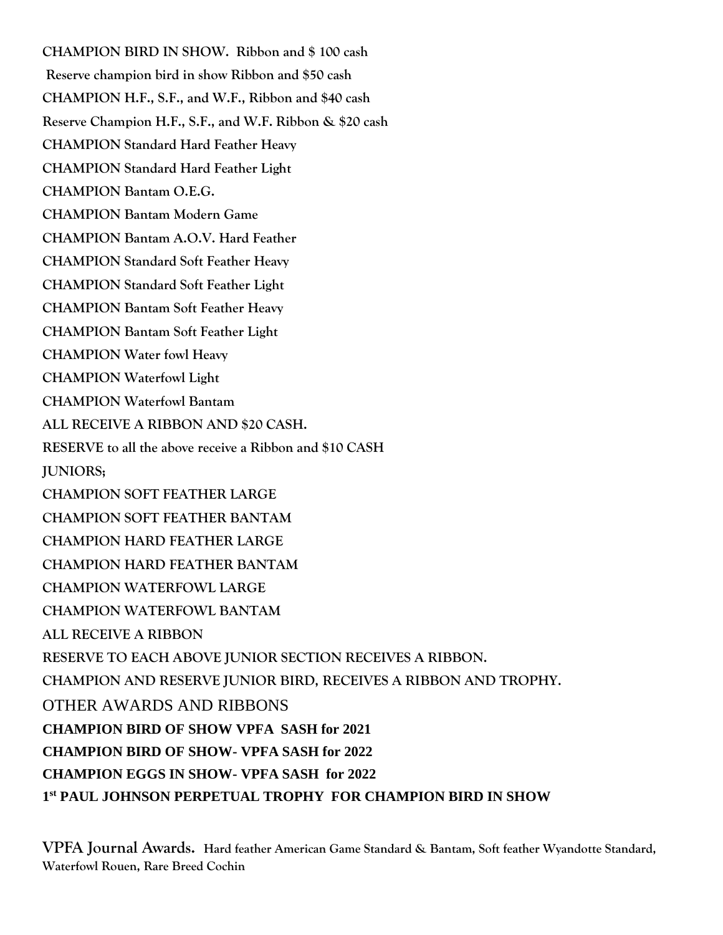**CHAMPION BIRD IN SHOW. Ribbon and \$ 100 cash Reserve champion bird in show Ribbon and \$50 cash CHAMPION H.F., S.F., and W.F., Ribbon and \$40 cash Reserve Champion H.F., S.F., and W.F. Ribbon & \$20 cash CHAMPION Standard Hard Feather Heavy CHAMPION Standard Hard Feather Light CHAMPION Bantam O.E.G. CHAMPION Bantam Modern Game CHAMPION Bantam A.O.V. Hard Feather CHAMPION Standard Soft Feather Heavy CHAMPION Standard Soft Feather Light CHAMPION Bantam Soft Feather Heavy CHAMPION Bantam Soft Feather Light CHAMPION Water fowl Heavy CHAMPION Waterfowl Light CHAMPION Waterfowl Bantam ALL RECEIVE A RIBBON AND \$20 CASH. RESERVE to all the above receive a Ribbon and \$10 CASH JUNIORS; CHAMPION SOFT FEATHER LARGE CHAMPION SOFT FEATHER BANTAM CHAMPION HARD FEATHER LARGE CHAMPION HARD FEATHER BANTAM CHAMPION WATERFOWL LARGE CHAMPION WATERFOWL BANTAM ALL RECEIVE A RIBBON RESERVE TO EACH ABOVE JUNIOR SECTION RECEIVES A RIBBON. CHAMPION AND RESERVE JUNIOR BIRD, RECEIVES A RIBBON AND TROPHY.** OTHER AWARDS AND RIBBONS **CHAMPION BIRD OF SHOW VPFA SASH for 2021 CHAMPION BIRD OF SHOW- VPFA SASH for 2022 CHAMPION EGGS IN SHOW- VPFA SASH for 2022 1 st PAUL JOHNSON PERPETUAL TROPHY FOR CHAMPION BIRD IN SHOW** 

**VPFA Journal Awards. Hard feather American Game Standard & Bantam, Soft feather Wyandotte Standard, Waterfowl Rouen, Rare Breed Cochin**